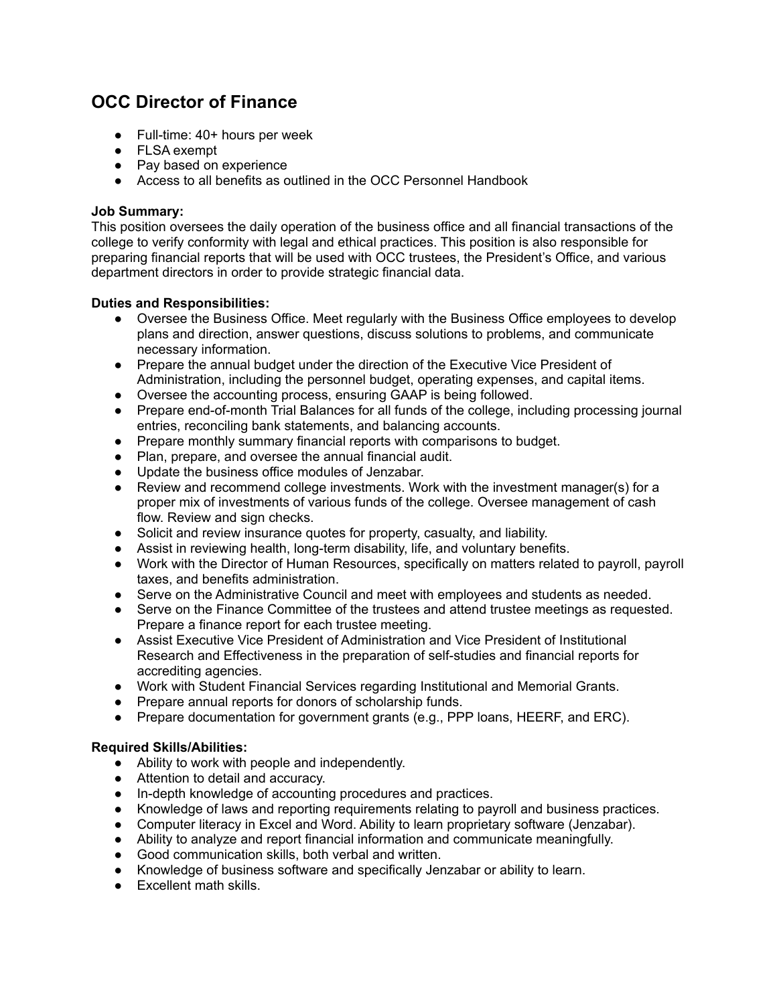# **OCC Director of Finance**

- Full-time: 40+ hours per week
- FLSA exempt
- Pay based on experience
- Access to all benefits as outlined in the OCC Personnel Handbook

#### **Job Summary:**

This position oversees the daily operation of the business office and all financial transactions of the college to verify conformity with legal and ethical practices. This position is also responsible for preparing financial reports that will be used with OCC trustees, the President's Office, and various department directors in order to provide strategic financial data.

### **Duties and Responsibilities:**

- Oversee the Business Office. Meet regularly with the Business Office employees to develop plans and direction, answer questions, discuss solutions to problems, and communicate necessary information.
- Prepare the annual budget under the direction of the Executive Vice President of Administration, including the personnel budget, operating expenses, and capital items.
- Oversee the accounting process, ensuring GAAP is being followed.
- Prepare end-of-month Trial Balances for all funds of the college, including processing journal entries, reconciling bank statements, and balancing accounts.
- Prepare monthly summary financial reports with comparisons to budget.
- Plan, prepare, and oversee the annual financial audit.
- Update the business office modules of Jenzabar.
- Review and recommend college investments. Work with the investment manager(s) for a proper mix of investments of various funds of the college. Oversee management of cash flow. Review and sign checks.
- Solicit and review insurance quotes for property, casualty, and liability.
- Assist in reviewing health, long-term disability, life, and voluntary benefits.
- Work with the Director of Human Resources, specifically on matters related to payroll, payroll taxes, and benefits administration.
- Serve on the Administrative Council and meet with employees and students as needed.
- Serve on the Finance Committee of the trustees and attend trustee meetings as requested. Prepare a finance report for each trustee meeting.
- Assist Executive Vice President of Administration and Vice President of Institutional Research and Effectiveness in the preparation of self-studies and financial reports for accrediting agencies.
- Work with Student Financial Services regarding Institutional and Memorial Grants.
- Prepare annual reports for donors of scholarship funds.
- Prepare documentation for government grants (e.g., PPP loans, HEERF, and ERC).

## **Required Skills/Abilities:**

- Ability to work with people and independently.
- Attention to detail and accuracy.
- In-depth knowledge of accounting procedures and practices.
- Knowledge of laws and reporting requirements relating to payroll and business practices.
- Computer literacy in Excel and Word. Ability to learn proprietary software (Jenzabar).
- Ability to analyze and report financial information and communicate meaningfully.
- Good communication skills, both verbal and written.
- Knowledge of business software and specifically Jenzabar or ability to learn.
- Excellent math skills.